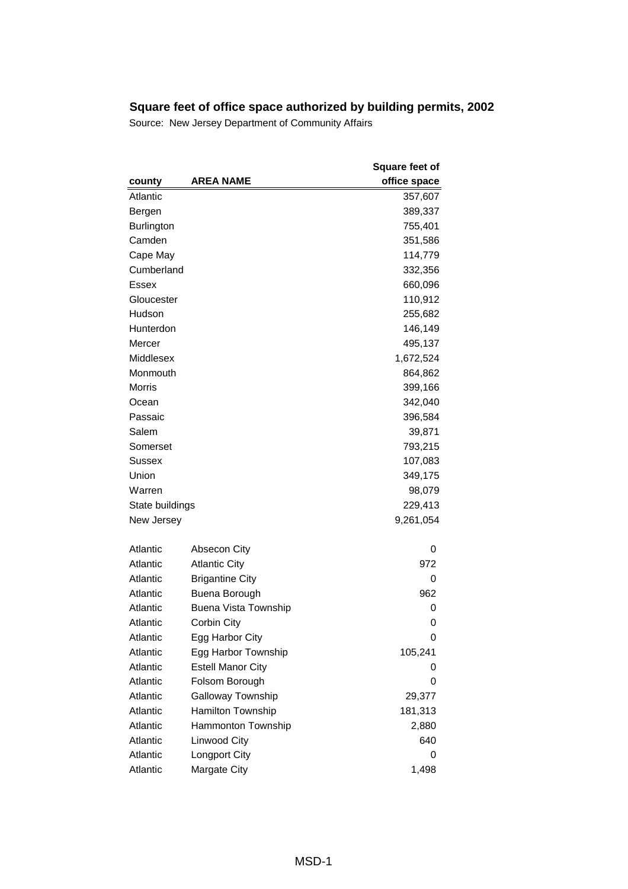|                   |                             | <b>Square feet of</b> |
|-------------------|-----------------------------|-----------------------|
| county            | <b>AREA NAME</b>            | office space          |
| Atlantic          |                             | 357,607               |
| Bergen            |                             | 389,337               |
| <b>Burlington</b> |                             | 755,401               |
| Camden            |                             | 351,586               |
| Cape May          |                             | 114,779               |
| Cumberland        |                             | 332,356               |
| Essex             |                             | 660,096               |
| Gloucester        |                             | 110,912               |
| Hudson            |                             | 255,682               |
| Hunterdon         |                             | 146,149               |
| Mercer            |                             | 495,137               |
| Middlesex         |                             | 1,672,524             |
| Monmouth          |                             | 864,862               |
| <b>Morris</b>     |                             | 399,166               |
| Ocean             |                             | 342,040               |
| Passaic           |                             | 396,584               |
| Salem             |                             | 39,871                |
| Somerset          |                             | 793,215               |
| Sussex            |                             | 107,083               |
| Union             |                             | 349,175               |
| Warren            |                             | 98,079                |
| State buildings   |                             | 229,413               |
| New Jersey        |                             | 9,261,054             |
|                   |                             |                       |
| Atlantic          | <b>Absecon City</b>         | 0                     |
| Atlantic          | <b>Atlantic City</b>        | 972                   |
| Atlantic          | <b>Brigantine City</b>      | 0                     |
| Atlantic          | Buena Borough               | 962                   |
| Atlantic          | <b>Buena Vista Township</b> | 0                     |
| Atlantic          | Corbin City                 | 0                     |
| Atlantic          | Egg Harbor City             | 0                     |
| Atlantic          | Egg Harbor Township         | 105,241               |
| Atlantic          | <b>Estell Manor City</b>    | 0                     |
| Atlantic          | Folsom Borough              | 0                     |
| Atlantic          | Galloway Township           | 29,377                |
| Atlantic          | Hamilton Township           | 181,313               |
| Atlantic          | Hammonton Township          | 2,880                 |
| Atlantic          | Linwood City                | 640                   |
| Atlantic          | Longport City               | 0                     |
| Atlantic          | Margate City                | 1,498                 |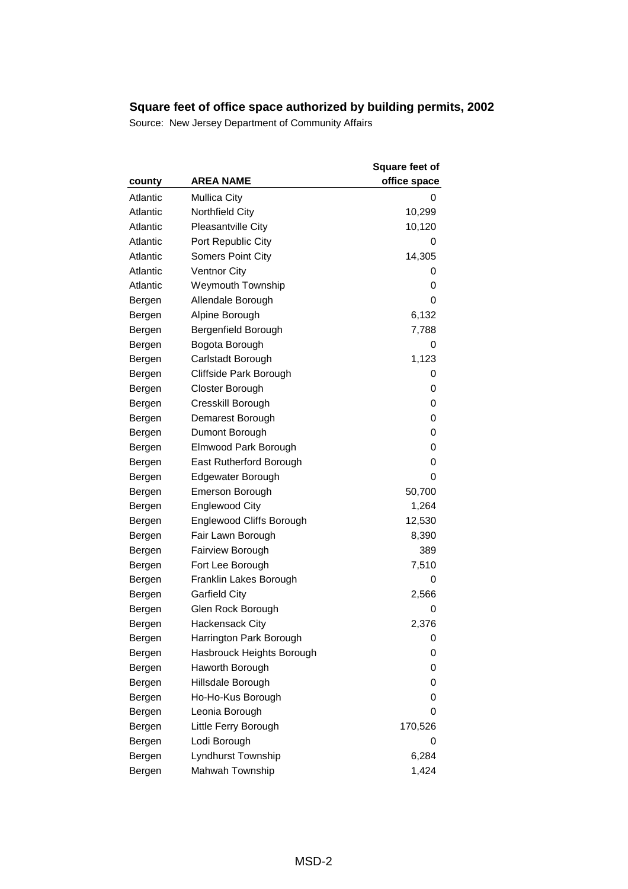| county   | <b>AREA NAME</b>                | <b>Square feet of</b><br>office space |
|----------|---------------------------------|---------------------------------------|
| Atlantic | <b>Mullica City</b>             | 0                                     |
| Atlantic | Northfield City                 | 10,299                                |
| Atlantic | <b>Pleasantville City</b>       | 10,120                                |
| Atlantic | Port Republic City              | 0                                     |
| Atlantic | <b>Somers Point City</b>        | 14,305                                |
| Atlantic | <b>Ventnor City</b>             | 0                                     |
| Atlantic | <b>Weymouth Township</b>        | 0                                     |
| Bergen   | Allendale Borough               | 0                                     |
| Bergen   | Alpine Borough                  | 6,132                                 |
| Bergen   | Bergenfield Borough             | 7,788                                 |
| Bergen   | Bogota Borough                  | 0                                     |
| Bergen   | Carlstadt Borough               | 1,123                                 |
| Bergen   | Cliffside Park Borough          | 0                                     |
| Bergen   | Closter Borough                 | 0                                     |
| Bergen   | Cresskill Borough               | 0                                     |
| Bergen   | Demarest Borough                | 0                                     |
| Bergen   | Dumont Borough                  | 0                                     |
| Bergen   | Elmwood Park Borough            | 0                                     |
| Bergen   | East Rutherford Borough         | 0                                     |
| Bergen   | Edgewater Borough               | 0                                     |
| Bergen   | <b>Emerson Borough</b>          | 50,700                                |
| Bergen   | <b>Englewood City</b>           | 1,264                                 |
| Bergen   | <b>Englewood Cliffs Borough</b> | 12,530                                |
| Bergen   | Fair Lawn Borough               | 8,390                                 |
| Bergen   | Fairview Borough                | 389                                   |
| Bergen   | Fort Lee Borough                | 7,510                                 |
| Bergen   | Franklin Lakes Borough          | 0                                     |
| Bergen   | <b>Garfield City</b>            | 2,566                                 |
| Bergen   | Glen Rock Borough               | 0                                     |
| Bergen   | Hackensack City                 | 2,376                                 |
| Bergen   | Harrington Park Borough         | 0                                     |
| Bergen   | Hasbrouck Heights Borough       | 0                                     |
| Bergen   | Haworth Borough                 | 0                                     |
| Bergen   | Hillsdale Borough               | 0                                     |
| Bergen   | Ho-Ho-Kus Borough               | 0                                     |
| Bergen   | Leonia Borough                  | 0                                     |
| Bergen   | Little Ferry Borough            | 170,526                               |
| Bergen   | Lodi Borough                    | 0                                     |
| Bergen   | Lyndhurst Township              | 6,284                                 |
| Bergen   | Mahwah Township                 | 1,424                                 |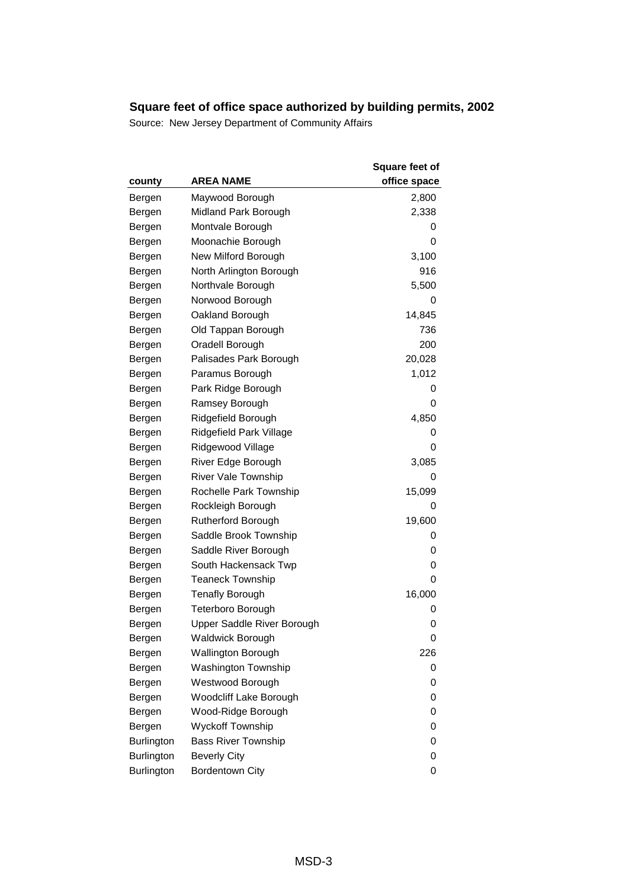| county     | <b>AREA NAME</b>           | <b>Square feet of</b><br>office space |
|------------|----------------------------|---------------------------------------|
| Bergen     | Maywood Borough            | 2,800                                 |
| Bergen     | Midland Park Borough       | 2,338                                 |
| Bergen     | Montvale Borough           | 0                                     |
| Bergen     | Moonachie Borough          | 0                                     |
| Bergen     | New Milford Borough        | 3,100                                 |
| Bergen     | North Arlington Borough    | 916                                   |
| Bergen     | Northvale Borough          | 5,500                                 |
| Bergen     | Norwood Borough            | 0                                     |
| Bergen     | Oakland Borough            | 14,845                                |
| Bergen     | Old Tappan Borough         | 736                                   |
| Bergen     | Oradell Borough            | 200                                   |
| Bergen     | Palisades Park Borough     | 20,028                                |
| Bergen     | Paramus Borough            | 1,012                                 |
| Bergen     | Park Ridge Borough         | 0                                     |
| Bergen     | Ramsey Borough             | 0                                     |
| Bergen     | Ridgefield Borough         | 4,850                                 |
| Bergen     | Ridgefield Park Village    | 0                                     |
| Bergen     | Ridgewood Village          | 0                                     |
| Bergen     | River Edge Borough         | 3,085                                 |
| Bergen     | <b>River Vale Township</b> | 0                                     |
| Bergen     | Rochelle Park Township     | 15,099                                |
| Bergen     | Rockleigh Borough          | 0                                     |
| Bergen     | <b>Rutherford Borough</b>  | 19,600                                |
| Bergen     | Saddle Brook Township      | 0                                     |
| Bergen     | Saddle River Borough       | 0                                     |
| Bergen     | South Hackensack Twp       | 0                                     |
| Bergen     | <b>Teaneck Township</b>    | 0                                     |
| Bergen     | <b>Tenafly Borough</b>     | 16,000                                |
| Bergen     | <b>Teterboro Borough</b>   | 0                                     |
| Bergen     | Upper Saddle River Borough | 0                                     |
| Bergen     | <b>Waldwick Borough</b>    | 0                                     |
| Bergen     | Wallington Borough         | 226                                   |
| Bergen     | <b>Washington Township</b> | 0                                     |
| Bergen     | Westwood Borough           | 0                                     |
| Bergen     | Woodcliff Lake Borough     | 0                                     |
| Bergen     | Wood-Ridge Borough         | 0                                     |
| Bergen     | <b>Wyckoff Township</b>    | 0                                     |
| Burlington | <b>Bass River Township</b> | 0                                     |
| Burlington | <b>Beverly City</b>        | 0                                     |
| Burlington | <b>Bordentown City</b>     | 0                                     |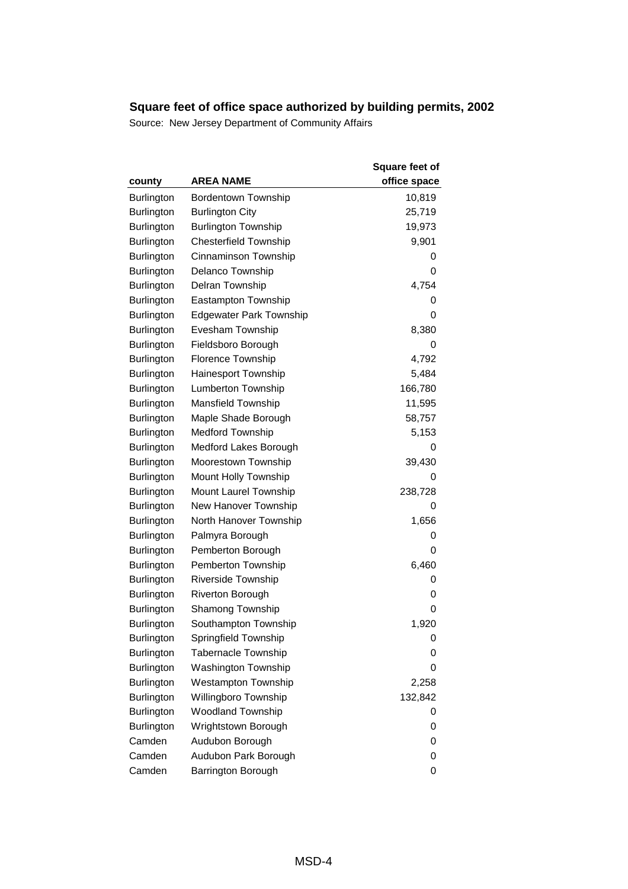| county            | <b>AREA NAME</b>               | <b>Square feet of</b><br>office space |
|-------------------|--------------------------------|---------------------------------------|
| <b>Burlington</b> | Bordentown Township            | 10,819                                |
| Burlington        | <b>Burlington City</b>         | 25,719                                |
| Burlington        | <b>Burlington Township</b>     | 19,973                                |
| <b>Burlington</b> | <b>Chesterfield Township</b>   | 9,901                                 |
| Burlington        | Cinnaminson Township           | 0                                     |
| Burlington        | Delanco Township               | 0                                     |
| <b>Burlington</b> | Delran Township                | 4,754                                 |
| Burlington        | Eastampton Township            | 0                                     |
| Burlington        | <b>Edgewater Park Township</b> | 0                                     |
| Burlington        | Evesham Township               | 8,380                                 |
| Burlington        | Fieldsboro Borough             | 0                                     |
| Burlington        | Florence Township              | 4,792                                 |
| <b>Burlington</b> | Hainesport Township            | 5,484                                 |
| Burlington        | <b>Lumberton Township</b>      | 166,780                               |
| Burlington        | Mansfield Township             | 11,595                                |
| Burlington        | Maple Shade Borough            | 58,757                                |
| Burlington        | <b>Medford Township</b>        | 5,153                                 |
| Burlington        | Medford Lakes Borough          | 0                                     |
| Burlington        | Moorestown Township            | 39,430                                |
| Burlington        | Mount Holly Township           | 0                                     |
| Burlington        | Mount Laurel Township          | 238,728                               |
| Burlington        | New Hanover Township           | 0                                     |
| Burlington        | North Hanover Township         | 1,656                                 |
| Burlington        | Palmyra Borough                | 0                                     |
| Burlington        | Pemberton Borough              | 0                                     |
| Burlington        | Pemberton Township             | 6,460                                 |
| Burlington        | Riverside Township             | 0                                     |
| Burlington        | <b>Riverton Borough</b>        | 0                                     |
| Burlington        | Shamong Township               | 0                                     |
| Burlington        | Southampton Township           | 1,920                                 |
| <b>Burlington</b> | Springfield Township           | 0                                     |
| <b>Burlington</b> | <b>Tabernacle Township</b>     | 0                                     |
| <b>Burlington</b> | <b>Washington Township</b>     | 0                                     |
| <b>Burlington</b> | <b>Westampton Township</b>     | 2,258                                 |
| <b>Burlington</b> | Willingboro Township           | 132,842                               |
| <b>Burlington</b> | <b>Woodland Township</b>       | 0                                     |
| <b>Burlington</b> | Wrightstown Borough            | 0                                     |
| Camden            | Audubon Borough                | 0                                     |
| Camden            | Audubon Park Borough           | 0                                     |
| Camden            | Barrington Borough             | 0                                     |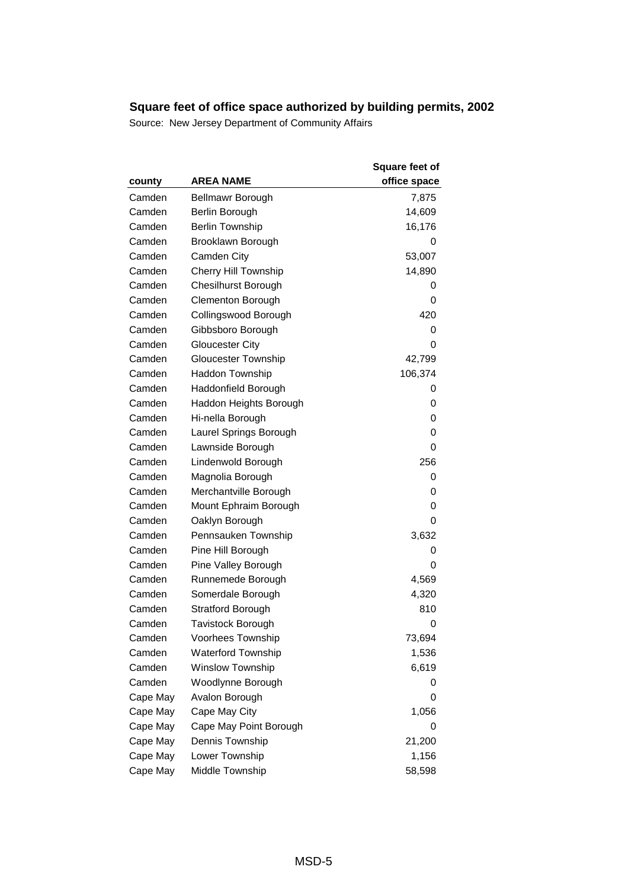| county   | AREA NAME                   | <b>Square feet of</b><br>office space |
|----------|-----------------------------|---------------------------------------|
| Camden   | Bellmawr Borough            | 7,875                                 |
| Camden   | Berlin Borough              | 14,609                                |
| Camden   | <b>Berlin Township</b>      | 16,176                                |
| Camden   | Brooklawn Borough           | O                                     |
| Camden   | <b>Camden City</b>          | 53,007                                |
| Camden   | <b>Cherry Hill Township</b> | 14,890                                |
| Camden   | <b>Chesilhurst Borough</b>  | 0                                     |
| Camden   | <b>Clementon Borough</b>    | 0                                     |
| Camden   | Collingswood Borough        | 420                                   |
| Camden   | Gibbsboro Borough           | 0                                     |
| Camden   | <b>Gloucester City</b>      | 0                                     |
| Camden   | Gloucester Township         | 42,799                                |
| Camden   | Haddon Township             | 106,374                               |
| Camden   | Haddonfield Borough         | 0                                     |
| Camden   | Haddon Heights Borough      | 0                                     |
| Camden   | Hi-nella Borough            | 0                                     |
| Camden   | Laurel Springs Borough      | 0                                     |
| Camden   | Lawnside Borough            | 0                                     |
| Camden   | Lindenwold Borough          | 256                                   |
| Camden   | Magnolia Borough            | 0                                     |
| Camden   | Merchantville Borough       | 0                                     |
| Camden   | Mount Ephraim Borough       | 0                                     |
| Camden   | Oaklyn Borough              | 0                                     |
| Camden   | Pennsauken Township         | 3,632                                 |
| Camden   | Pine Hill Borough           | 0                                     |
| Camden   | Pine Valley Borough         | 0                                     |
| Camden   | Runnemede Borough           | 4,569                                 |
| Camden   | Somerdale Borough           | 4,320                                 |
| Camden   | <b>Stratford Borough</b>    | 810                                   |
| Camden   | <b>Tavistock Borough</b>    | 0                                     |
| Camden   | Voorhees Township           | 73,694                                |
| Camden   | <b>Waterford Township</b>   | 1,536                                 |
| Camden   | <b>Winslow Township</b>     | 6,619                                 |
| Camden   | Woodlynne Borough           | 0                                     |
| Cape May | Avalon Borough              | 0                                     |
| Cape May | Cape May City               | 1,056                                 |
| Cape May | Cape May Point Borough      | 0                                     |
| Cape May | Dennis Township             | 21,200                                |
| Cape May | Lower Township              | 1,156                                 |
| Cape May | Middle Township             | 58,598                                |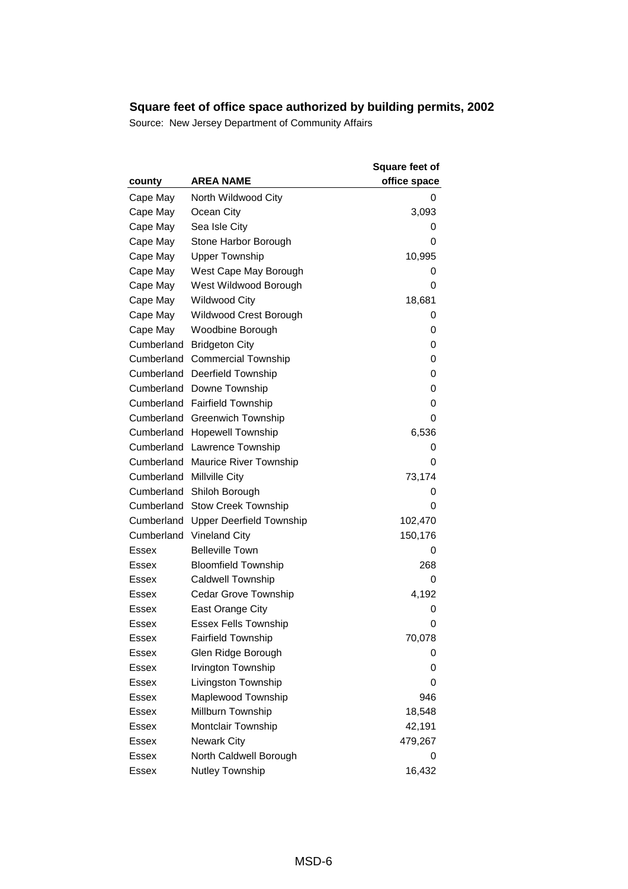| county       | <b>AREA NAME</b>                | <b>Square feet of</b><br>office space |
|--------------|---------------------------------|---------------------------------------|
| Cape May     | North Wildwood City             | 0                                     |
| Cape May     | Ocean City                      | 3,093                                 |
| Cape May     | Sea Isle City                   | 0                                     |
| Cape May     | Stone Harbor Borough            | 0                                     |
| Cape May     | <b>Upper Township</b>           | 10,995                                |
| Cape May     | West Cape May Borough           | 0                                     |
| Cape May     | West Wildwood Borough           | 0                                     |
| Cape May     | <b>Wildwood City</b>            | 18,681                                |
| Cape May     | Wildwood Crest Borough          | 0                                     |
| Cape May     | Woodbine Borough                | 0                                     |
| Cumberland   | <b>Bridgeton City</b>           | 0                                     |
| Cumberland   | <b>Commercial Township</b>      | 0                                     |
| Cumberland   | <b>Deerfield Township</b>       | 0                                     |
| Cumberland   | Downe Township                  | 0                                     |
| Cumberland   | <b>Fairfield Township</b>       | 0                                     |
| Cumberland   | <b>Greenwich Township</b>       | 0                                     |
| Cumberland   | <b>Hopewell Township</b>        | 6,536                                 |
| Cumberland   | <b>Lawrence Township</b>        | 0                                     |
| Cumberland   | <b>Maurice River Township</b>   | 0                                     |
| Cumberland   | <b>Millville City</b>           | 73,174                                |
| Cumberland   | Shiloh Borough                  | 0                                     |
| Cumberland   | <b>Stow Creek Township</b>      | 0                                     |
| Cumberland   | <b>Upper Deerfield Township</b> | 102,470                               |
| Cumberland   | <b>Vineland City</b>            | 150,176                               |
| Essex        | <b>Belleville Town</b>          | 0                                     |
| Essex        | <b>Bloomfield Township</b>      | 268                                   |
| Essex        | <b>Caldwell Township</b>        | 0                                     |
| Essex        | <b>Cedar Grove Township</b>     | 4,192                                 |
| Essex        | East Orange City                | 0                                     |
| Essex        | <b>Essex Fells Township</b>     | 0                                     |
| Essex        | <b>Fairfield Township</b>       | 70,078                                |
| Essex        | Glen Ridge Borough              | 0                                     |
| Essex        | Irvington Township              | 0                                     |
| Essex        | Livingston Township             | 0                                     |
| Essex        | Maplewood Township              | 946                                   |
| Essex        | Millburn Township               | 18,548                                |
| Essex        | Montclair Township              | 42,191                                |
| <b>Essex</b> | <b>Newark City</b>              | 479,267                               |
| <b>Essex</b> | North Caldwell Borough          | 0                                     |
| <b>Essex</b> | Nutley Township                 | 16,432                                |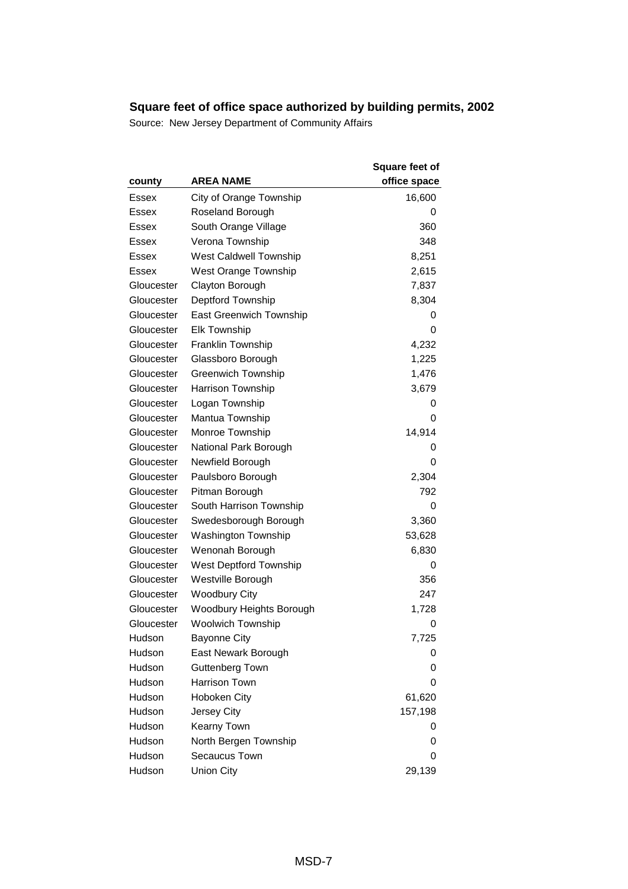| county       | AREA NAME                      | <b>Square feet of</b><br>office space |
|--------------|--------------------------------|---------------------------------------|
| Essex        | City of Orange Township        | 16,600                                |
| Essex        | Roseland Borough               | 0                                     |
| Essex        | South Orange Village           | 360                                   |
| <b>Essex</b> | Verona Township                | 348                                   |
| Essex        | West Caldwell Township         | 8,251                                 |
| Essex        | West Orange Township           | 2,615                                 |
| Gloucester   | Clayton Borough                | 7,837                                 |
| Gloucester   | Deptford Township              | 8,304                                 |
| Gloucester   | <b>East Greenwich Township</b> | 0                                     |
| Gloucester   | <b>Elk Township</b>            | 0                                     |
| Gloucester   | Franklin Township              | 4,232                                 |
| Gloucester   | Glassboro Borough              | 1,225                                 |
| Gloucester   | <b>Greenwich Township</b>      | 1,476                                 |
| Gloucester   | Harrison Township              | 3,679                                 |
| Gloucester   | Logan Township                 | 0                                     |
| Gloucester   | Mantua Township                | 0                                     |
| Gloucester   | Monroe Township                | 14,914                                |
| Gloucester   | National Park Borough          | 0                                     |
| Gloucester   | Newfield Borough               | 0                                     |
| Gloucester   | Paulsboro Borough              | 2,304                                 |
| Gloucester   | Pitman Borough                 | 792                                   |
| Gloucester   | South Harrison Township        | 0                                     |
| Gloucester   | Swedesborough Borough          | 3,360                                 |
| Gloucester   | <b>Washington Township</b>     | 53,628                                |
| Gloucester   | Wenonah Borough                | 6,830                                 |
| Gloucester   | <b>West Deptford Township</b>  | 0                                     |
| Gloucester   | Westville Borough              | 356                                   |
| Gloucester   | <b>Woodbury City</b>           | 247                                   |
| Gloucester   | Woodbury Heights Borough       | 1,728                                 |
| Gloucester   | <b>Woolwich Township</b>       | 0                                     |
| Hudson       | <b>Bayonne City</b>            | 7,725                                 |
| Hudson       | East Newark Borough            | 0                                     |
| Hudson       | Guttenberg Town                | 0                                     |
| Hudson       | <b>Harrison Town</b>           | 0                                     |
| Hudson       | Hoboken City                   | 61,620                                |
| Hudson       | Jersey City                    | 157,198                               |
| Hudson       | Kearny Town                    | 0                                     |
| Hudson       | North Bergen Township          | 0                                     |
| Hudson       | Secaucus Town                  | 0                                     |
| Hudson       | <b>Union City</b>              | 29,139                                |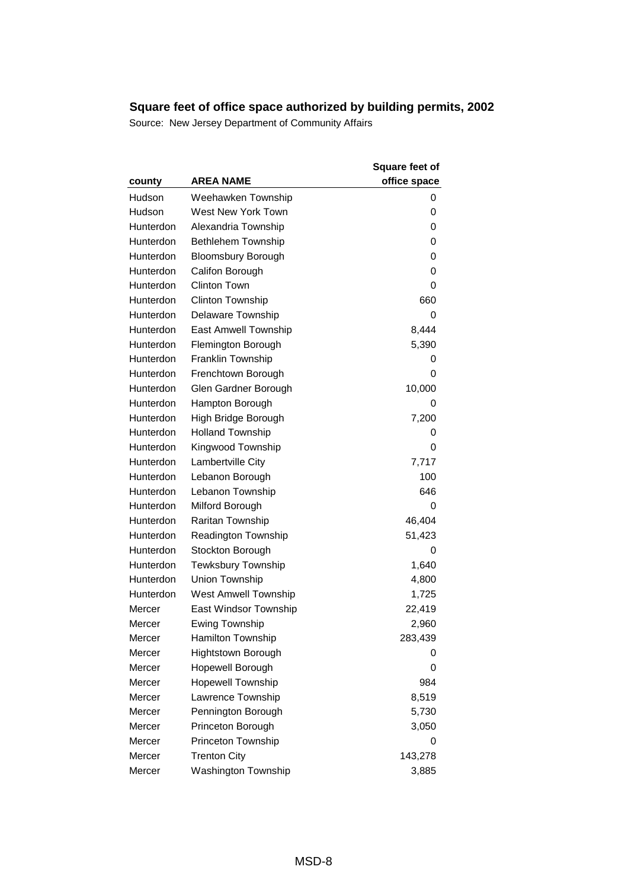| county    | <b>AREA NAME</b>            | <b>Square feet of</b><br>office space |
|-----------|-----------------------------|---------------------------------------|
| Hudson    | Weehawken Township          | 0                                     |
| Hudson    | <b>West New York Town</b>   | 0                                     |
| Hunterdon | Alexandria Township         | 0                                     |
| Hunterdon | <b>Bethlehem Township</b>   | 0                                     |
| Hunterdon | <b>Bloomsbury Borough</b>   | 0                                     |
| Hunterdon | Califon Borough             | 0                                     |
| Hunterdon | <b>Clinton Town</b>         | 0                                     |
| Hunterdon | <b>Clinton Township</b>     | 660                                   |
| Hunterdon | Delaware Township           | 0                                     |
| Hunterdon | East Amwell Township        | 8,444                                 |
| Hunterdon | Flemington Borough          | 5,390                                 |
| Hunterdon | Franklin Township           | 0                                     |
| Hunterdon | Frenchtown Borough          | 0                                     |
| Hunterdon | Glen Gardner Borough        | 10,000                                |
| Hunterdon | Hampton Borough             | 0                                     |
| Hunterdon | High Bridge Borough         | 7,200                                 |
| Hunterdon | <b>Holland Township</b>     | 0                                     |
| Hunterdon | Kingwood Township           | 0                                     |
| Hunterdon | Lambertville City           | 7,717                                 |
| Hunterdon | Lebanon Borough             | 100                                   |
| Hunterdon | Lebanon Township            | 646                                   |
| Hunterdon | Milford Borough             | 0                                     |
| Hunterdon | Raritan Township            | 46,404                                |
| Hunterdon | Readington Township         | 51,423                                |
| Hunterdon | Stockton Borough            | 0                                     |
| Hunterdon | <b>Tewksbury Township</b>   | 1,640                                 |
| Hunterdon | Union Township              | 4,800                                 |
| Hunterdon | <b>West Amwell Township</b> | 1,725                                 |
| Mercer    | East Windsor Township       | 22,419                                |
| Mercer    | <b>Ewing Township</b>       | 2,960                                 |
| Mercer    | <b>Hamilton Township</b>    | 283,439                               |
| Mercer    | Hightstown Borough          | O                                     |
| Mercer    | Hopewell Borough            | 0                                     |
| Mercer    | <b>Hopewell Township</b>    | 984                                   |
| Mercer    | Lawrence Township           | 8,519                                 |
| Mercer    | Pennington Borough          | 5,730                                 |
| Mercer    | Princeton Borough           | 3,050                                 |
| Mercer    | Princeton Township          | 0                                     |
| Mercer    | <b>Trenton City</b>         | 143,278                               |
| Mercer    | <b>Washington Township</b>  | 3,885                                 |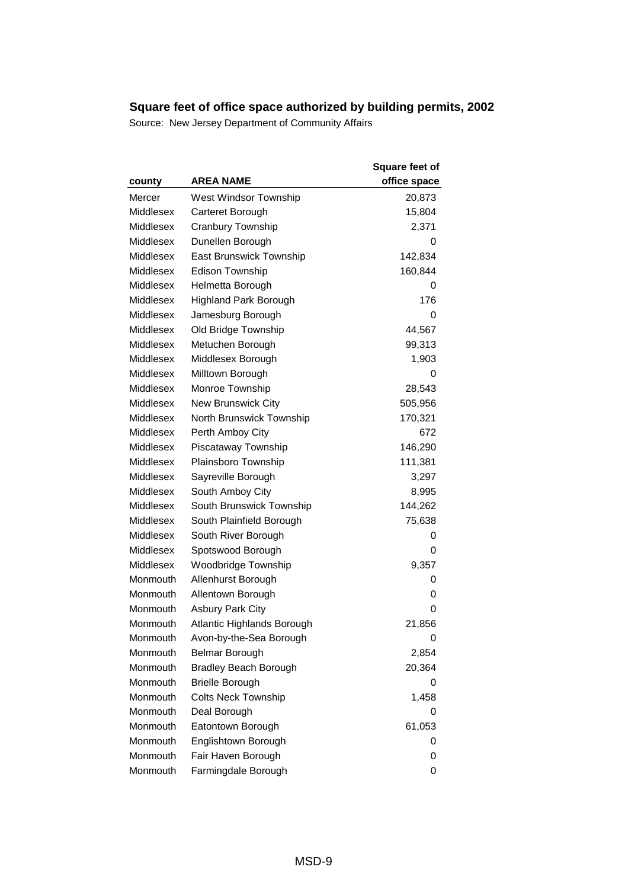| county    | <b>AREA NAME</b>             | <b>Square feet of</b><br>office space |
|-----------|------------------------------|---------------------------------------|
| Mercer    | West Windsor Township        | 20,873                                |
| Middlesex | Carteret Borough             | 15,804                                |
| Middlesex | Cranbury Township            | 2,371                                 |
| Middlesex | Dunellen Borough             | 0                                     |
| Middlesex | East Brunswick Township      | 142,834                               |
| Middlesex | <b>Edison Township</b>       | 160,844                               |
| Middlesex | Helmetta Borough             | 0                                     |
| Middlesex | <b>Highland Park Borough</b> | 176                                   |
| Middlesex | Jamesburg Borough            | 0                                     |
| Middlesex | Old Bridge Township          | 44,567                                |
| Middlesex | Metuchen Borough             | 99,313                                |
| Middlesex | Middlesex Borough            | 1,903                                 |
| Middlesex | Milltown Borough             | 0                                     |
| Middlesex | Monroe Township              | 28,543                                |
| Middlesex | <b>New Brunswick City</b>    | 505,956                               |
| Middlesex | North Brunswick Township     | 170,321                               |
| Middlesex | Perth Amboy City             | 672                                   |
| Middlesex | Piscataway Township          | 146,290                               |
| Middlesex | Plainsboro Township          | 111,381                               |
| Middlesex | Sayreville Borough           | 3,297                                 |
| Middlesex | South Amboy City             | 8,995                                 |
| Middlesex | South Brunswick Township     | 144,262                               |
| Middlesex | South Plainfield Borough     | 75,638                                |
| Middlesex | South River Borough          | 0                                     |
| Middlesex | Spotswood Borough            | 0                                     |
| Middlesex | Woodbridge Township          | 9,357                                 |
| Monmouth  | Allenhurst Borough           | 0                                     |
| Monmouth  | Allentown Borough            | 0                                     |
| Monmouth  | <b>Asbury Park City</b>      | 0                                     |
| Monmouth  | Atlantic Highlands Borough   | 21,856                                |
| Monmouth  | Avon-by-the-Sea Borough      | 0                                     |
| Monmouth  | Belmar Borough               | 2,854                                 |
| Monmouth  | <b>Bradley Beach Borough</b> | 20,364                                |
| Monmouth  | <b>Brielle Borough</b>       | 0                                     |
| Monmouth  | <b>Colts Neck Township</b>   | 1,458                                 |
| Monmouth  | Deal Borough                 | 0                                     |
| Monmouth  | Eatontown Borough            | 61,053                                |
| Monmouth  | Englishtown Borough          | 0                                     |
| Monmouth  | Fair Haven Borough           | 0                                     |
| Monmouth  | Farmingdale Borough          | 0                                     |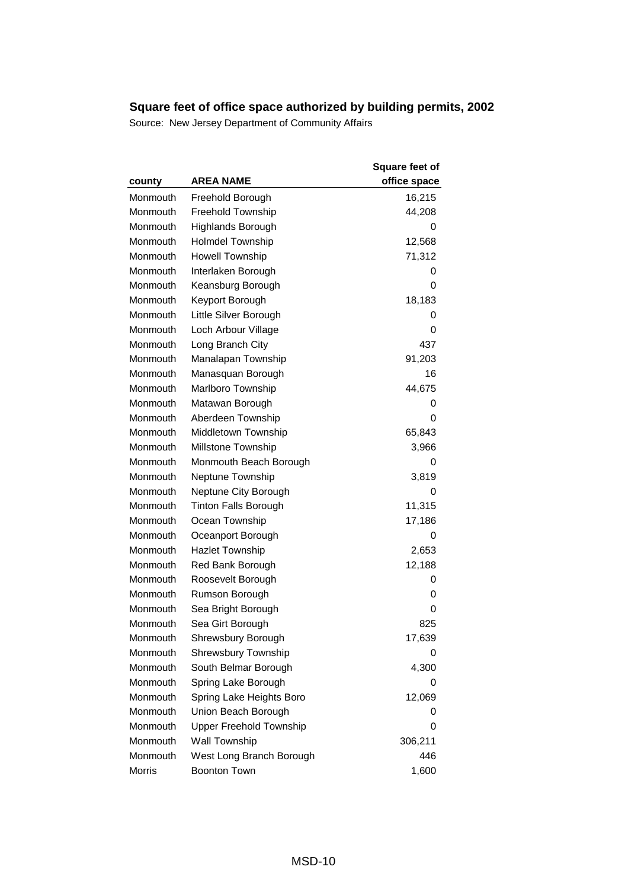| county   | <b>AREA NAME</b>               | Square feet of<br>office space |
|----------|--------------------------------|--------------------------------|
| Monmouth | Freehold Borough               | 16,215                         |
| Monmouth | <b>Freehold Township</b>       | 44,208                         |
| Monmouth | Highlands Borough              | 0                              |
| Monmouth | <b>Holmdel Township</b>        | 12,568                         |
| Monmouth | <b>Howell Township</b>         | 71,312                         |
| Monmouth | Interlaken Borough             | 0                              |
| Monmouth | Keansburg Borough              | 0                              |
| Monmouth | Keyport Borough                | 18,183                         |
| Monmouth | Little Silver Borough          | 0                              |
| Monmouth | Loch Arbour Village            | 0                              |
| Monmouth | Long Branch City               | 437                            |
| Monmouth | Manalapan Township             | 91,203                         |
| Monmouth | Manasquan Borough              | 16                             |
| Monmouth | Marlboro Township              | 44,675                         |
| Monmouth | Matawan Borough                | 0                              |
| Monmouth | Aberdeen Township              | 0                              |
| Monmouth | Middletown Township            | 65,843                         |
| Monmouth | Millstone Township             | 3,966                          |
| Monmouth | Monmouth Beach Borough         | 0                              |
| Monmouth | Neptune Township               | 3,819                          |
| Monmouth | Neptune City Borough           | 0                              |
| Monmouth | <b>Tinton Falls Borough</b>    | 11,315                         |
| Monmouth | Ocean Township                 | 17,186                         |
| Monmouth | Oceanport Borough              | 0                              |
| Monmouth | <b>Hazlet Township</b>         | 2,653                          |
| Monmouth | Red Bank Borough               | 12,188                         |
| Monmouth | Roosevelt Borough              | 0                              |
| Monmouth | Rumson Borough                 | 0                              |
| Monmouth | Sea Bright Borough             | 0                              |
| Monmouth | Sea Girt Borough               | 825                            |
| Monmouth | Shrewsbury Borough             | 17,639                         |
| Monmouth | Shrewsbury Township            | 0                              |
| Monmouth | South Belmar Borough           | 4,300                          |
| Monmouth | Spring Lake Borough            | 0                              |
| Monmouth | Spring Lake Heights Boro       | 12,069                         |
| Monmouth | Union Beach Borough            | 0                              |
| Monmouth | <b>Upper Freehold Township</b> | 0                              |
| Monmouth | Wall Township                  | 306,211                        |
| Monmouth | West Long Branch Borough       | 446                            |
| Morris   | <b>Boonton Town</b>            | 1,600                          |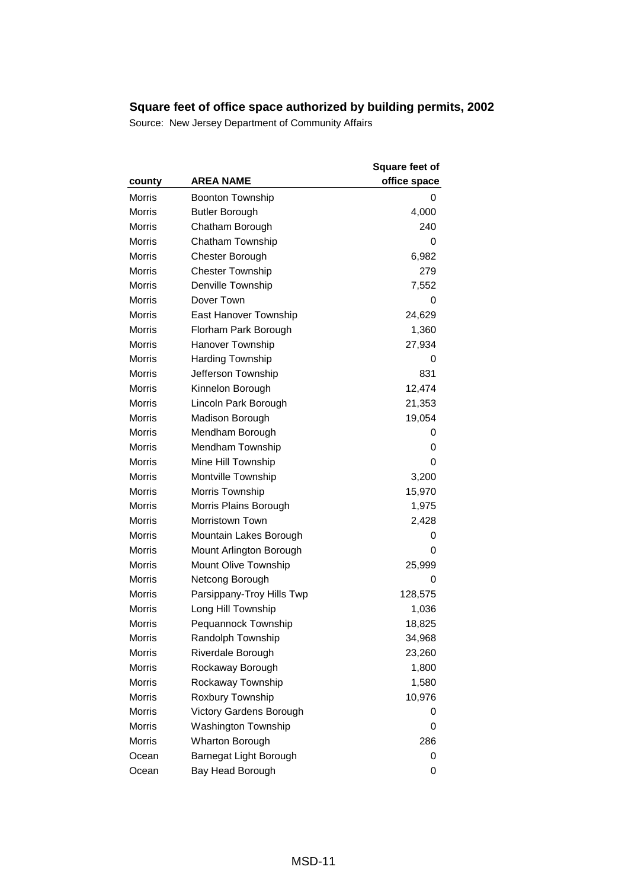| county        | <b>AREA NAME</b>          | <b>Square feet of</b><br>office space |
|---------------|---------------------------|---------------------------------------|
| Morris        | <b>Boonton Township</b>   | 0                                     |
| Morris        | <b>Butler Borough</b>     | 4,000                                 |
| <b>Morris</b> | Chatham Borough           | 240                                   |
| <b>Morris</b> | Chatham Township          | 0                                     |
| <b>Morris</b> | <b>Chester Borough</b>    | 6,982                                 |
| <b>Morris</b> | <b>Chester Township</b>   | 279                                   |
| <b>Morris</b> | Denville Township         | 7,552                                 |
| Morris        | Dover Town                | 0                                     |
| Morris        | East Hanover Township     | 24,629                                |
| <b>Morris</b> | Florham Park Borough      | 1,360                                 |
| Morris        | Hanover Township          | 27,934                                |
| <b>Morris</b> | <b>Harding Township</b>   | 0                                     |
| <b>Morris</b> | Jefferson Township        | 831                                   |
| <b>Morris</b> | Kinnelon Borough          | 12,474                                |
| <b>Morris</b> | Lincoln Park Borough      | 21,353                                |
| <b>Morris</b> | Madison Borough           | 19,054                                |
| <b>Morris</b> | Mendham Borough           | 0                                     |
| <b>Morris</b> | Mendham Township          | 0                                     |
| <b>Morris</b> | Mine Hill Township        | 0                                     |
| Morris        | Montville Township        | 3,200                                 |
| <b>Morris</b> | Morris Township           | 15,970                                |
| <b>Morris</b> | Morris Plains Borough     | 1,975                                 |
| <b>Morris</b> | Morristown Town           | 2,428                                 |
| <b>Morris</b> | Mountain Lakes Borough    | 0                                     |
| <b>Morris</b> | Mount Arlington Borough   | 0                                     |
| <b>Morris</b> | Mount Olive Township      | 25,999                                |
| Morris        | Netcong Borough           | 0                                     |
| <b>Morris</b> | Parsippany-Troy Hills Twp | 128,575                               |
| <b>Morris</b> | Long Hill Township        | 1,036                                 |
| Morris        | Pequannock Township       | 18,825                                |
| Morris        | Randolph Township         | 34,968                                |
| <b>Morris</b> | Riverdale Borough         | 23,260                                |
| <b>Morris</b> | Rockaway Borough          | 1,800                                 |
| <b>Morris</b> | Rockaway Township         | 1,580                                 |
| <b>Morris</b> | Roxbury Township          | 10,976                                |
| <b>Morris</b> | Victory Gardens Borough   | 0                                     |
| Morris        | Washington Township       | 0                                     |
| Morris        | <b>Wharton Borough</b>    | 286                                   |
| Ocean         | Barnegat Light Borough    | 0                                     |
| Ocean         | Bay Head Borough          | 0                                     |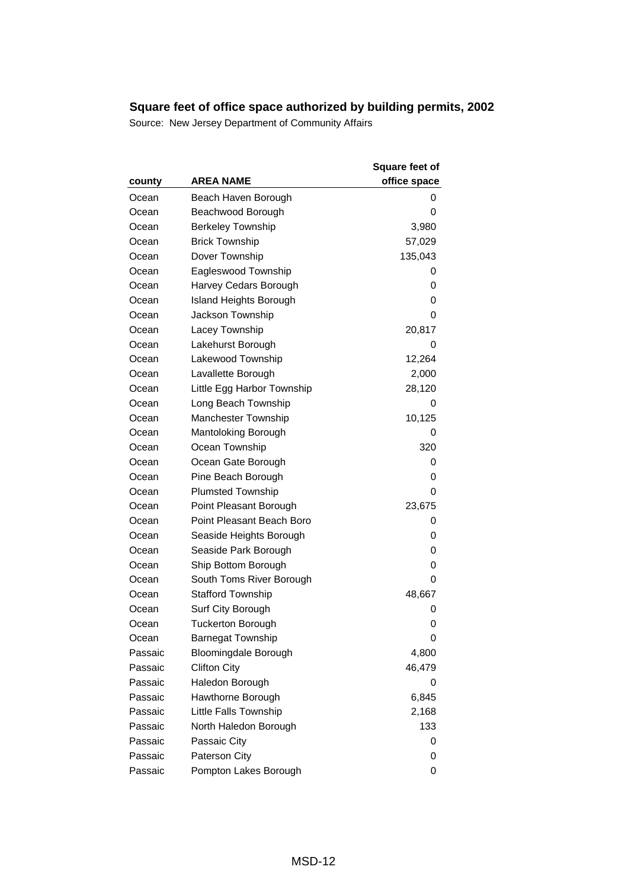|         |                               | <b>Square feet of</b> |
|---------|-------------------------------|-----------------------|
| county  | <b>AREA NAME</b>              | office space          |
| Ocean   | Beach Haven Borough           | 0                     |
| Ocean   | Beachwood Borough             | 0                     |
| Ocean   | <b>Berkeley Township</b>      | 3,980                 |
| Ocean   | <b>Brick Township</b>         | 57,029                |
| Ocean   | Dover Township                | 135,043               |
| Ocean   | Eagleswood Township           | 0                     |
| Ocean   | Harvey Cedars Borough         | 0                     |
| Ocean   | <b>Island Heights Borough</b> | 0                     |
| Ocean   | Jackson Township              | 0                     |
| Ocean   | Lacey Township                | 20,817                |
| Ocean   | Lakehurst Borough             | 0                     |
| Ocean   | Lakewood Township             | 12,264                |
| Ocean   | Lavallette Borough            | 2,000                 |
| Ocean   | Little Egg Harbor Township    | 28,120                |
| Ocean   | Long Beach Township           | 0                     |
| Ocean   | <b>Manchester Township</b>    | 10,125                |
| Ocean   | Mantoloking Borough           | 0                     |
| Ocean   | Ocean Township                | 320                   |
| Ocean   | Ocean Gate Borough            | 0                     |
| Ocean   | Pine Beach Borough            | 0                     |
| Ocean   | <b>Plumsted Township</b>      | 0                     |
| Ocean   | Point Pleasant Borough        | 23,675                |
| Ocean   | Point Pleasant Beach Boro     | 0                     |
| Ocean   | Seaside Heights Borough       | 0                     |
| Ocean   | Seaside Park Borough          | 0                     |
| Ocean   | Ship Bottom Borough           | 0                     |
| Ocean   | South Toms River Borough      | 0                     |
| Ocean   | <b>Stafford Township</b>      | 48,667                |
| Ocean   | Surf City Borough             | 0                     |
| Ocean   | <b>Tuckerton Borough</b>      | 0                     |
| Ocean   | <b>Barnegat Township</b>      | 0                     |
| Passaic | <b>Bloomingdale Borough</b>   | 4,800                 |
| Passaic | <b>Clifton City</b>           | 46,479                |
| Passaic | Haledon Borough               | 0                     |
| Passaic | Hawthorne Borough             | 6,845                 |
| Passaic | Little Falls Township         | 2,168                 |
| Passaic | North Haledon Borough         | 133                   |
| Passaic | Passaic City                  | 0                     |
| Passaic | Paterson City                 | 0                     |
| Passaic | Pompton Lakes Borough         | 0                     |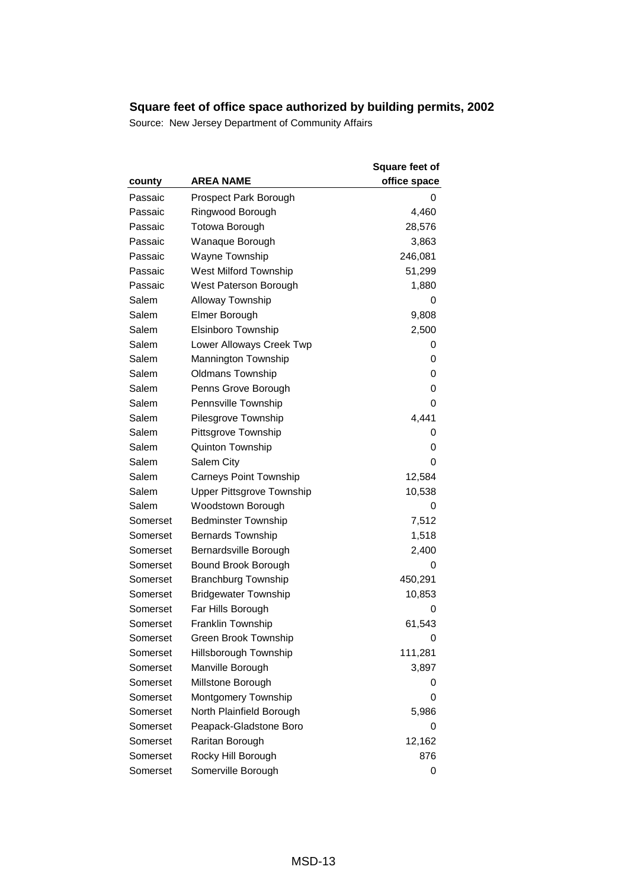| county   | <b>AREA NAME</b>                 | <b>Square feet of</b><br>office space |
|----------|----------------------------------|---------------------------------------|
| Passaic  | Prospect Park Borough            | 0                                     |
| Passaic  | Ringwood Borough                 | 4,460                                 |
| Passaic  | <b>Totowa Borough</b>            | 28,576                                |
| Passaic  | Wanaque Borough                  | 3,863                                 |
| Passaic  | Wayne Township                   | 246,081                               |
| Passaic  | West Milford Township            | 51,299                                |
| Passaic  | West Paterson Borough            | 1,880                                 |
| Salem    | <b>Alloway Township</b>          | 0                                     |
| Salem    | Elmer Borough                    | 9,808                                 |
| Salem    | Elsinboro Township               | 2,500                                 |
| Salem    | Lower Alloways Creek Twp         | 0                                     |
| Salem    | Mannington Township              | 0                                     |
| Salem    | <b>Oldmans Township</b>          | 0                                     |
| Salem    | Penns Grove Borough              | 0                                     |
| Salem    | Pennsville Township              | 0                                     |
| Salem    | Pilesgrove Township              | 4,441                                 |
| Salem    | Pittsgrove Township              | 0                                     |
| Salem    | Quinton Township                 | 0                                     |
| Salem    | Salem City                       | 0                                     |
| Salem    | <b>Carneys Point Township</b>    | 12,584                                |
| Salem    | <b>Upper Pittsgrove Township</b> | 10,538                                |
| Salem    | Woodstown Borough                | 0                                     |
| Somerset | <b>Bedminster Township</b>       | 7,512                                 |
| Somerset | <b>Bernards Township</b>         | 1,518                                 |
| Somerset | Bernardsville Borough            | 2,400                                 |
| Somerset | Bound Brook Borough              | 0                                     |
| Somerset | <b>Branchburg Township</b>       | 450,291                               |
| Somerset | <b>Bridgewater Township</b>      | 10,853                                |
| Somerset | Far Hills Borough                | 0                                     |
| Somerset | <b>Franklin Township</b>         | 61,543                                |
| Somerset | Green Brook Township             | 0                                     |
| Somerset | Hillsborough Township            | 111,281                               |
| Somerset | Manville Borough                 | 3,897                                 |
| Somerset | Millstone Borough                | 0                                     |
| Somerset | Montgomery Township              | 0                                     |
| Somerset | North Plainfield Borough         | 5,986                                 |
| Somerset | Peapack-Gladstone Boro           | 0                                     |
| Somerset | Raritan Borough                  | 12,162                                |
| Somerset | Rocky Hill Borough               | 876                                   |
| Somerset | Somerville Borough               | 0                                     |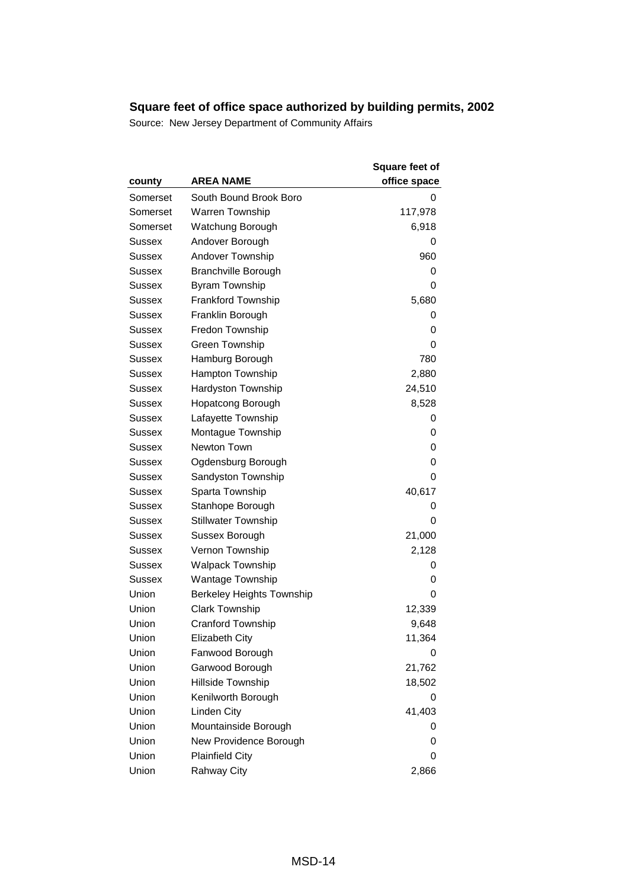| county        | <b>AREA NAME</b>                 | <b>Square feet of</b><br>office space |
|---------------|----------------------------------|---------------------------------------|
| Somerset      | South Bound Brook Boro           | 0                                     |
| Somerset      | Warren Township                  | 117,978                               |
| Somerset      | Watchung Borough                 | 6,918                                 |
| Sussex        | Andover Borough                  | 0                                     |
| Sussex        | Andover Township                 | 960                                   |
| Sussex        | <b>Branchville Borough</b>       | 0                                     |
| Sussex        | <b>Byram Township</b>            | 0                                     |
| Sussex        | <b>Frankford Township</b>        | 5,680                                 |
| Sussex        | Franklin Borough                 | 0                                     |
| Sussex        | Fredon Township                  | 0                                     |
| Sussex        | Green Township                   | 0                                     |
| <b>Sussex</b> | Hamburg Borough                  | 780                                   |
| Sussex        | Hampton Township                 | 2,880                                 |
| Sussex        | Hardyston Township               | 24,510                                |
| Sussex        | <b>Hopatcong Borough</b>         | 8,528                                 |
| Sussex        | Lafayette Township               | 0                                     |
| Sussex        | Montague Township                | 0                                     |
| Sussex        | Newton Town                      | 0                                     |
| Sussex        | Ogdensburg Borough               | 0                                     |
| Sussex        | Sandyston Township               | 0                                     |
| <b>Sussex</b> | Sparta Township                  | 40,617                                |
| Sussex        | Stanhope Borough                 | 0                                     |
| Sussex        | <b>Stillwater Township</b>       | 0                                     |
| Sussex        | Sussex Borough                   | 21,000                                |
| Sussex        | Vernon Township                  | 2,128                                 |
| Sussex        | <b>Walpack Township</b>          | 0                                     |
| Sussex        | Wantage Township                 | 0                                     |
| Union         | <b>Berkeley Heights Township</b> | 0                                     |
| Union         | <b>Clark Township</b>            | 12,339                                |
| Union         | <b>Cranford Township</b>         | 9,648                                 |
| Union         | <b>Elizabeth City</b>            | 11,364                                |
| Union         | Fanwood Borough                  | 0                                     |
| Union         | Garwood Borough                  | 21,762                                |
| Union         | Hillside Township                | 18,502                                |
| Union         | Kenilworth Borough               | 0                                     |
| Union         | Linden City                      | 41,403                                |
| Union         | Mountainside Borough             | 0                                     |
| Union         | New Providence Borough           | 0                                     |
| Union         | <b>Plainfield City</b>           | 0                                     |
| Union         | <b>Rahway City</b>               | 2,866                                 |